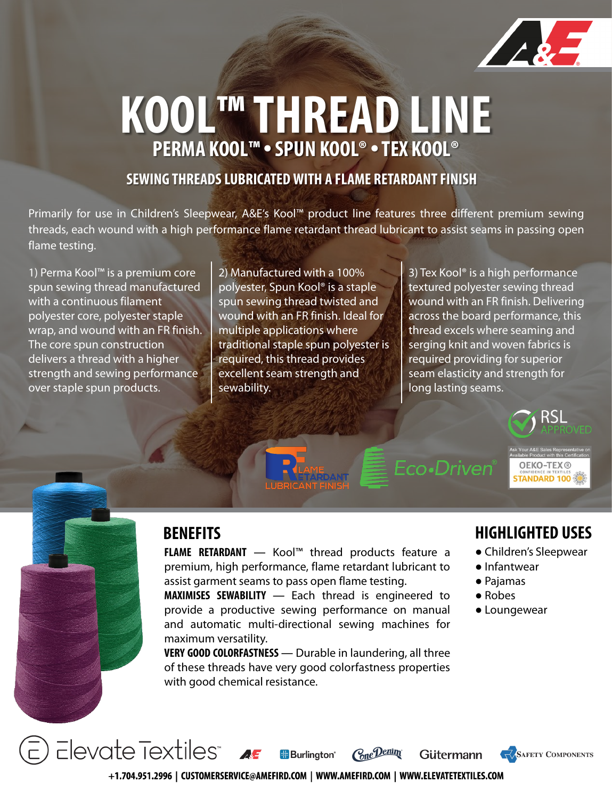

## **KOOL™ THREAD LINE PERMA KOOL™ •SPUN KOOL® •TEX KOOL®**

### **SEWING THREADS LUBRICATED WITH A FLAME RETARDANT FINISH**

Primarily for use in Children's Sleepwear, A&E's Kool™ product line features three different premium sewing threads, each wound with a high performance flame retardant thread lubricant to assist seams in passing open flame testing.

1) Perma Kool™ is a premium core spun sewing thread manufactured with a continuous filament polyester core, polyester staple wrap, and wound with an FR finish. The core spun construction delivers a thread with a higher strength and sewing performance over staple spun products.

2) Manufactured with a 100% polyester, Spun Kool® is a staple spun sewing thread twisted and wound with an FR finish. Ideal for multiple applications where traditional staple spun polyester is required, this thread provides excellent seam strength and sewability.

3) Tex Kool® is a high performance textured polyester sewing thread wound with an FR finish. Delivering across the board performance, this thread excels where seaming and serging knit and woven fabrics is required providing for superior seam elasticity and strength for long lasting seams.



Eco•Driven®

**OEKO-TEX® STANDARD 100** 



**FLAME RETARDANT** ― Kool™ thread products feature a premium, high performance, flame retardant lubricant to assist garment seams to pass open flame testing.

**MAXIMISES SEWABILITY** ― Each thread is engineered to provide a productive sewing performance on manual and automatic multi-directional sewing machines for maximum versatility.

**VERY GOOD COLORFASTNESS** ― Durable in laundering, all three of these threads have very good colorfastness properties with good chemical resistance.

### **BENEFITS HIGHLIGHTED USES**

● Children's Sleepwear

**SAFETY COMPONENTS** 

- Infantwear
- Pajamas
- Robes
- Loungewear

Elevate Textiles" AF Cone Denim **H**Burlinaton<sup>®</sup> Gütermann +1.704.951.2996 | CUSTOMERSERVICE@AMEFIRD.COM | WWW.AMEFIRD.COM | WWW.ELEVATETEXTILES.COM